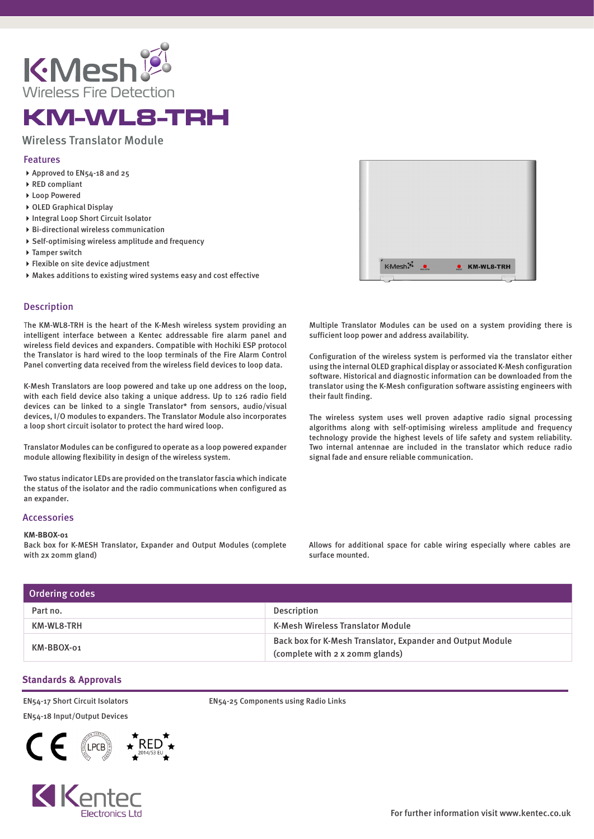

# KM-WL8-TRH

## Wireless Translator Module

### Features

- Approved to EN54-18 and 25
- ▶ RED compliant
- ▶ Loop Powered
- ▶ OLED Graphical Display
- ▶ Integral Loop Short Circuit Isolator
- Bi-directional wireless communication
- Self-optimising wireless amplitude and frequency
- ▶ Tamper switch
- Flexible on site device adjustment
- Makes additions to existing wired systems easy and cost effective

#### **Description**

The KM-WL8-TRH is the heart of the K-Mesh wireless system providing an intelligent interface between a Kentec addressable fire alarm panel and wireless field devices and expanders. Compatible with Hochiki ESP protocol the Translator is hard wired to the loop terminals of the Fire Alarm Control Panel converting data received from the wireless field devices to loop data.

K-Mesh Translators are loop powered and take up one address on the loop, with each field device also taking a unique address. Up to 126 radio field devices can be linked to a single Translator\* from sensors, audio/visual devices, I/O modules to expanders. The Translator Module also incorporates a loop short circuit isolator to protect the hard wired loop.

Translator Modules can be configured to operate as a loop powered expander module allowing flexibility in design of the wireless system.

Two status indicator LEDs are provided on the translator fascia which indicate the status of the isolator and the radio communications when configured as an expander.

#### Accessories

#### **KM-BBOX-01**

Back box for K-MESH Translator, Expander and Output Modules (complete with 2x 20mm gland)

KMesh<sup>2</sup> **C** KM-WL8-TRH

Multiple Translator Modules can be used on a system providing there is sufficient loop power and address availability.

Configuration of the wireless system is performed via the translator either using the internal OLED graphical display or associated K-Mesh configuration software. Historical and diagnostic information can be downloaded from the translator using the K-Mesh configuration software assisting engineers with their fault finding.

The wireless system uses well proven adaptive radio signal processing algorithms along with self-optimising wireless amplitude and frequency technology provide the highest levels of life safety and system reliability. Two internal antennae are included in the translator which reduce radio signal fade and ensure reliable communication.

Allows for additional space for cable wiring especially where cables are surface mounted.

| Ordering codes |                                                                                               |
|----------------|-----------------------------------------------------------------------------------------------|
| Part no.       | Description                                                                                   |
| KM-WL8-TRH     | <b>K-Mesh Wireless Translator Module</b>                                                      |
| KM-BBOX-01     | Back box for K-Mesh Translator, Expander and Output Module<br>(complete with 2 x 20mm glands) |

#### **Standards & Approvals**

EN54-17 Short Circuit Isolators EN54-18 Input/Output Devices





EN54-25 Components using Radio Links

For further information visit www.kentec.co.uk